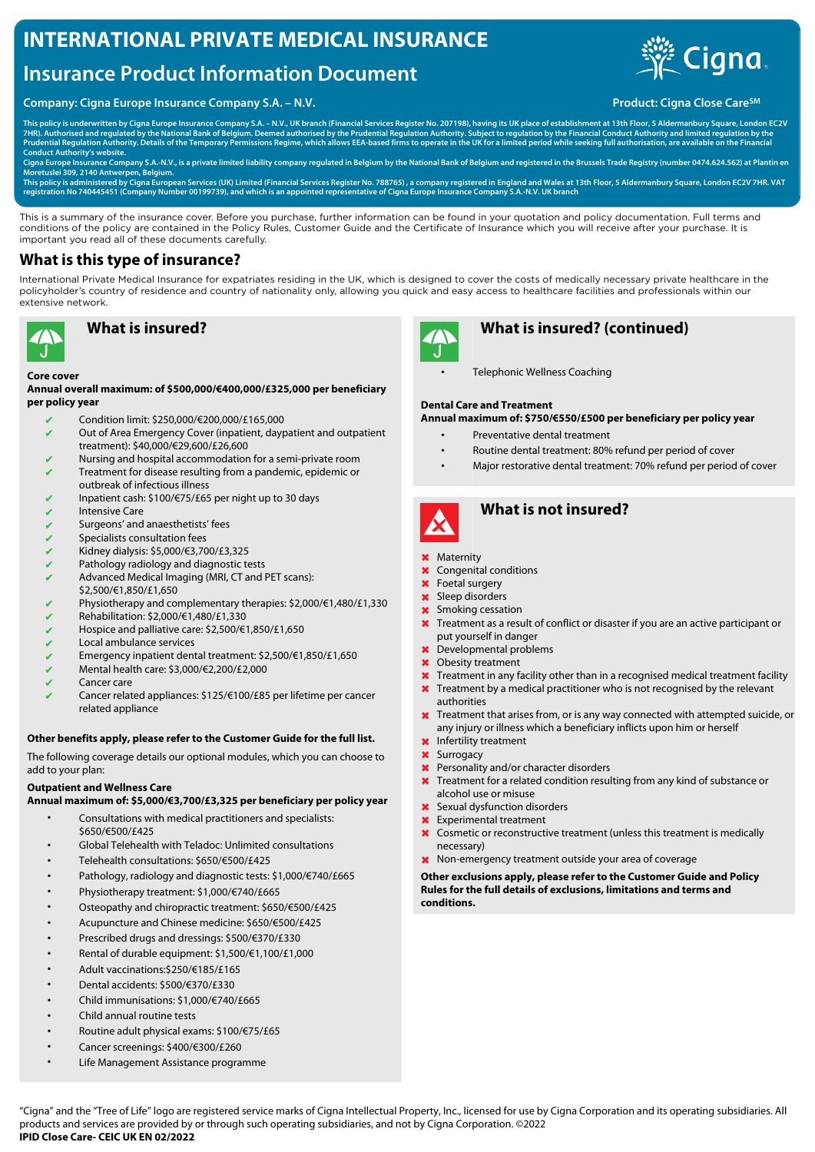# **INTERNATIONAL PRIVATE MEDICAL INSURANCE**

# **Insurance Product Information Document**

#### **Company: Cigna Europe Insurance Company S.A. – N.V. Product: Cigna Close Care**<sup>SM</sup> **Product: Cigna Close Care**<sup>SM</sup>



**This policy is underwritten by Cigna Europe Insurance Company S.A. – N.V., UK branch (Financial Services Register No. 207198), having its UK place of establishment at 13th Floor, 5 Aldermanbury Square, London EC2V** 7HR). Authorised and regulated by the National Bank of Belgium. Deemed authorised by the Prudential Regulation Authority. Subject to regulation by the Financial Conduct Authority and limited regulation by the<br>Prudential Re **Conduct Authority's website.** 

**Cigna Europe Insurance Company S.A.-N.V., is a private limited liability company regulated in Belgium by the National Bank of Belgium and registered in the Brussels Trade Registry (number 0474.624.562) at Plantin en Moretuslei 309, 2140 Antwerpen, Belgium.**

This policy is administered by Cigna European Services (UK) Limited (Financial Services Register No. 788765) , a company registered in England and Wales at 13th Floor, 5 Aldermanbury Square, London EC2V 7HR. VAT<br>registrati

This is a summary of the insurance cover. Before you purchase, further information can be found in your quotation and policy documentation. Full terms and conditions of the policy are contained in the Policy Rules, Customer Guide and the Certificate of Insurance which you will receive after your purchase. It is important you read all of these documents carefully.

#### **What is this type of insurance?**

International Private Medical Insurance for expatriates residing in the UK, which is designed to cover the costs of medically necessary private healthcare in the policyholder's country of residence and country of nationality only, allowing you quick and easy access to healthcare facilities and professionals within our extensive network.



# **What is insured?**

#### **Core cover**

#### **Annual overall maximum: of \$500,000/€400,000/£325,000 per beneficiary per policy year**

- ✔ Condition limit: \$250,000/€200,000/£165,000
- $\vee$  Out of Area Emergency Cover (inpatient, daypatient and outpatient treatment): \$40,000/€29,600/£26,600
- Nursing and hospital accommodation for a semi-private room Treatment for disease resulting from a pandemic, epidemic or
- outbreak of infectious illness
- ✔ Inpatient cash: \$100/€75/£65 per night up to 30 days
- **Intensive Care**
- Surgeons' and anaesthetists' fees
- Specialists consultation fees
- ✔ Kidney dialysis: \$5,000/€3,700/£3,325
- Pathology radiology and diagnostic tests
- Advanced Medical Imaging (MRI, CT and PET scans): \$2,500/€1,850/£1,650
- Physiotherapy and complementary therapies: \$2,000/€1,480/£1,330
- ✔ Rehabilitation: \$2,000/€1,480/£1,330
- ✔ Hospice and palliative care: \$2,500/€1,850/£1,650
- ✔ Local ambulance services
- ✔ Emergency inpatient dental treatment: \$2,500/€1,850/£1,650
- ✔ Mental health care: \$3,000/€2,200/£2,000
- Cancer care
- Cancer related appliances: \$125/€100/£85 per lifetime per cancer related appliance

#### **Other benefits apply, please refer to the Customer Guide for the full list.**

The following coverage details our optional modules, which you can choose to add to your plan:

#### **Outpatient and Wellness Care**

**Annual maximum of: \$5,000/€3,700/£3,325 per beneficiary per policy year**

- Consultations with medical practitioners and specialists: \$650/€500/£425
- Global Telehealth with Teladoc: Unlimited consultations
- Telehealth consultations: \$650/€500/£425
- Pathology, radiology and diagnostic tests: \$1,000/€740/£665
- Physiotherapy treatment: \$1,000/€740/£665
- Osteopathy and chiropractic treatment: \$650/€500/£425
- Acupuncture and Chinese medicine: \$650/€500/£425
- Prescribed drugs and dressings: \$500/€370/£330
- Rental of durable equipment: \$1,500/€1,100/£1,000
- Adult vaccinations:\$250/€185/£165
- Dental accidents: \$500/€370/£330
- Child immunisations: \$1,000/€740/£665
- Child annual routine tests
- Routine adult physical exams: \$100/€75/£65
- Cancer screenings: \$400/€300/£260
- Life Management Assistance programme



## **What is insured? (continued)**

• Telephonic Wellness Coaching

#### **Dental Care and Treatment**

**Annual maximum of: \$750/€550/£500 per beneficiary per policy year**

- Preventative dental treatment
- Routine dental treatment: 80% refund per period of cover
- Major restorative dental treatment: 70% refund per period of cover



## **What is not insured?**

- ✖ Maternity
- ✖ Congenital conditions
- ✖ Foetal surgery
- ✖ Sleep disorders
- ✖ Smoking cessation
- ✖ Treatment as a result of conflict or disaster if you are an active participant or put yourself in danger
- ✖ Developmental problems
- ✖ Obesity treatment
- **X** Treatment in any facility other than in a recognised medical treatment facility
- ✖ Treatment by a medical practitioner who is not recognised by the relevant
- authorities ✖ Treatment that arises from, or is any way connected with attempted suicide, or any injury or illness which a beneficiary inflicts upon him or herself
- ✖ Infertility treatment
- ✖ Surrogacy
- ✖ Personality and/or character disorders
- ✖ Treatment for a related condition resulting from any kind of substance or alcohol use or misuse
- ✖ Sexual dysfunction disorders
- ✖ Experimental treatment
- ✖ Cosmetic or reconstructive treatment (unless this treatment is medically necessary)
- ✖ Non-emergency treatment outside your area of coverage

**Other exclusions apply, please refer to the Customer Guide and Policy Rules for the full details of exclusions, limitations and terms and conditions.**

"Cigna" and the "Tree of Life" logo are registered service marks of Cigna Intellectual Property, Inc., licensed for use by Cigna Corporation and its operating subsidiaries. All products and services are provided by or through such operating subsidiaries, and not by Cigna Corporation. ©2022 **IPID Close Care- CEIC UK EN 02/2022**